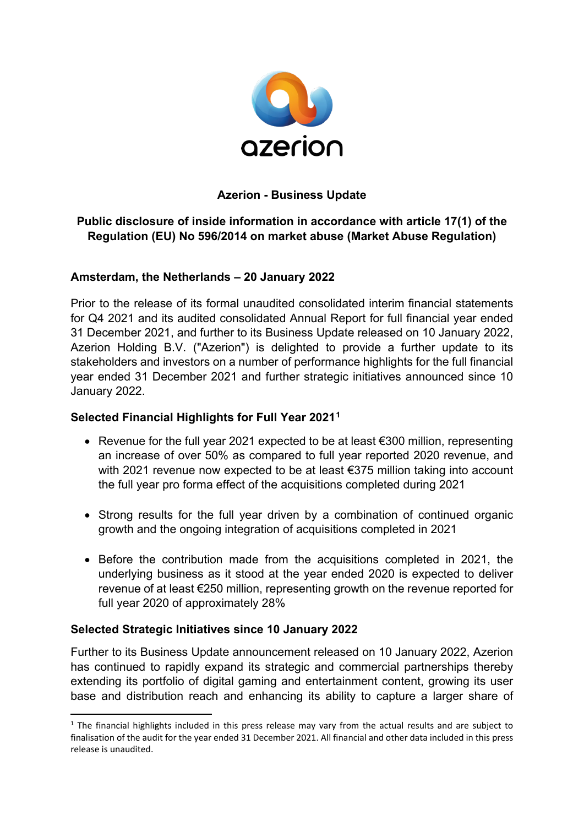

### **Azerion - Business Update**

# **Public disclosure of inside information in accordance with article 17(1) of the Regulation (EU) No 596/2014 on market abuse (Market Abuse Regulation)**

#### **Amsterdam, the Netherlands – 20 January 2022**

Prior to the release of its formal unaudited consolidated interim financial statements for Q4 2021 and its audited consolidated Annual Report for full financial year ended 31 December 2021, and further to its Business Update released on 10 January 2022, Azerion Holding B.V. ("Azerion") is delighted to provide a further update to its stakeholders and investors on a number of performance highlights for the full financial year ended 31 December 2021 and further strategic initiatives announced since 10 January 2022.

#### **Selected Financial Highlights for Full Year 2021[1](#page-0-0)**

- Revenue for the full year 2021 expected to be at least  $\epsilon$ 300 million, representing an increase of over 50% as compared to full year reported 2020 revenue, and with 2021 revenue now expected to be at least €375 million taking into account the full year pro forma effect of the acquisitions completed during 2021
- Strong results for the full year driven by a combination of continued organic growth and the ongoing integration of acquisitions completed in 2021
- Before the contribution made from the acquisitions completed in 2021, the underlying business as it stood at the year ended 2020 is expected to deliver revenue of at least €250 million, representing growth on the revenue reported for full year 2020 of approximately 28%

### **Selected Strategic Initiatives since 10 January 2022**

Further to its Business Update announcement released on 10 January 2022, Azerion has continued to rapidly expand its strategic and commercial partnerships thereby extending its portfolio of digital gaming and entertainment content, growing its user base and distribution reach and enhancing its ability to capture a larger share of

<span id="page-0-0"></span> $1$  The financial highlights included in this press release may vary from the actual results and are subject to finalisation of the audit for the year ended 31 December 2021. All financial and other data included in this press release is unaudited.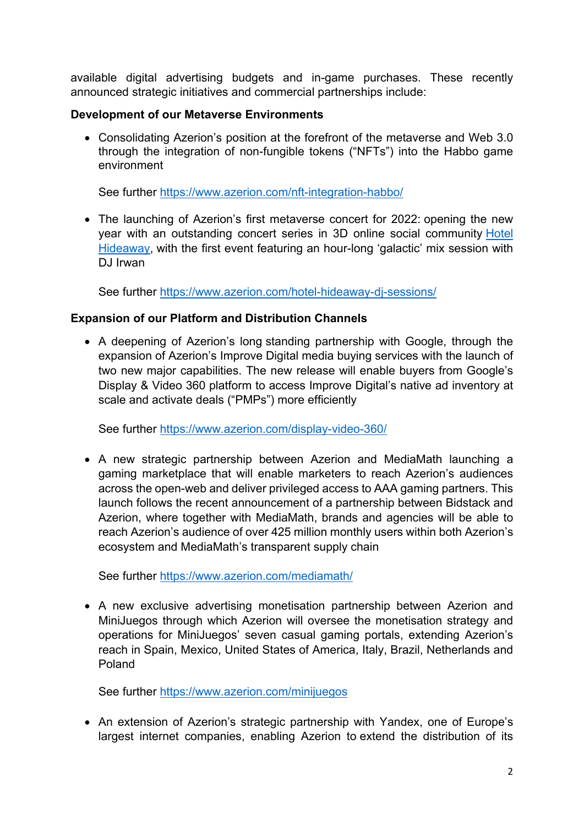available digital advertising budgets and in-game purchases. These recently announced strategic initiatives and commercial partnerships include:

### **Development of our Metaverse Environments**

• Consolidating Azerion's position at the forefront of the metaverse and Web 3.0 through the integration of non-fungible tokens ("NFTs") into the Habbo game environment

See further<https://www.azerion.com/nft-integration-habbo/>

• The launching of Azerion's first metaverse concert for 2022: opening the new year with an outstanding concert series in 3D online social community [Hotel](https://hotelhideaway.onelink.me/Hqne/d9ee9f36)  [Hideaway,](https://hotelhideaway.onelink.me/Hqne/d9ee9f36) with the first event featuring an hour-long 'galactic' mix session with DJ Irwan

See further <https://www.azerion.com/hotel-hideaway-dj-sessions/>

# **Expansion of our Platform and Distribution Channels**

• A deepening of Azerion's long standing partnership with Google, through the expansion of Azerion's Improve Digital media buying services with the launch of two new major capabilities. The new release will enable buyers from Google's Display & Video 360 platform to access Improve Digital's native ad inventory at scale and activate deals ("PMPs") more efficiently

See further<https://www.azerion.com/display-video-360/>

• A new strategic partnership between Azerion and MediaMath launching a gaming marketplace that will enable marketers to reach Azerion's audiences across the open-web and deliver privileged access to AAA gaming partners. This launch follows the recent announcement of a partnership between Bidstack and Azerion, where together with MediaMath, brands and agencies will be able to reach Azerion's audience of over 425 million monthly users within both Azerion's ecosystem and MediaMath's transparent supply chain

See further<https://www.azerion.com/mediamath/>

• A new exclusive advertising monetisation partnership between Azerion and MiniJuegos through which Azerion will oversee the monetisation strategy and operations for MiniJuegos' seven casual gaming portals, extending Azerion's reach in Spain, Mexico, United States of America, Italy, Brazil, Netherlands and Poland

See further<https://www.azerion.com/minijuegos>

• An extension of Azerion's strategic partnership with Yandex, one of Europe's largest internet companies, enabling Azerion to extend the distribution of its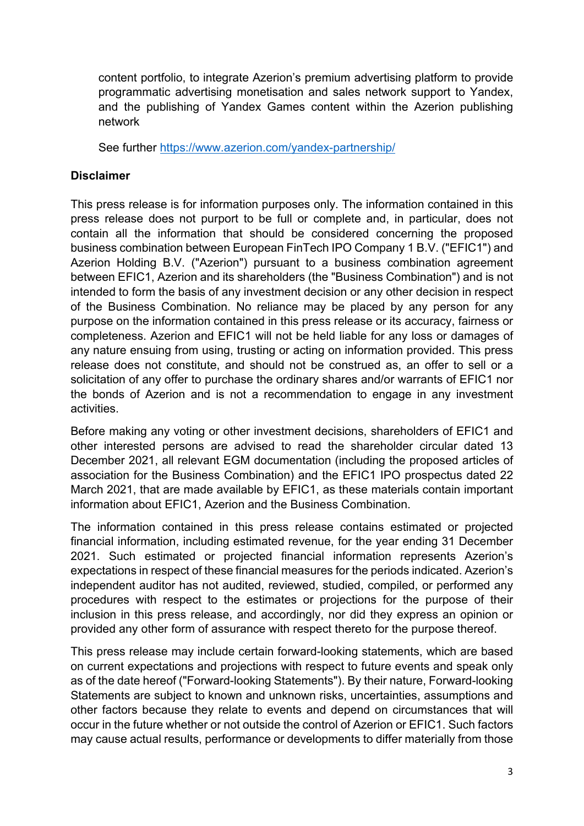content portfolio, to integrate Azerion's premium advertising platform to provide programmatic advertising monetisation and sales network support to Yandex, and the publishing of Yandex Games content within the Azerion publishing network

See further<https://www.azerion.com/yandex-partnership/>

### **Disclaimer**

This press release is for information purposes only. The information contained in this press release does not purport to be full or complete and, in particular, does not contain all the information that should be considered concerning the proposed business combination between European FinTech IPO Company 1 B.V. ("EFIC1") and Azerion Holding B.V. ("Azerion") pursuant to a business combination agreement between EFIC1, Azerion and its shareholders (the "Business Combination") and is not intended to form the basis of any investment decision or any other decision in respect of the Business Combination. No reliance may be placed by any person for any purpose on the information contained in this press release or its accuracy, fairness or completeness. Azerion and EFIC1 will not be held liable for any loss or damages of any nature ensuing from using, trusting or acting on information provided. This press release does not constitute, and should not be construed as, an offer to sell or a solicitation of any offer to purchase the ordinary shares and/or warrants of EFIC1 nor the bonds of Azerion and is not a recommendation to engage in any investment activities.

Before making any voting or other investment decisions, shareholders of EFIC1 and other interested persons are advised to read the shareholder circular dated 13 December 2021, all relevant EGM documentation (including the proposed articles of association for the Business Combination) and the EFIC1 IPO prospectus dated 22 March 2021, that are made available by EFIC1, as these materials contain important information about EFIC1, Azerion and the Business Combination.

The information contained in this press release contains estimated or projected financial information, including estimated revenue, for the year ending 31 December 2021. Such estimated or projected financial information represents Azerion's expectations in respect of these financial measures for the periods indicated. Azerion's independent auditor has not audited, reviewed, studied, compiled, or performed any procedures with respect to the estimates or projections for the purpose of their inclusion in this press release, and accordingly, nor did they express an opinion or provided any other form of assurance with respect thereto for the purpose thereof.

This press release may include certain forward-looking statements, which are based on current expectations and projections with respect to future events and speak only as of the date hereof ("Forward-looking Statements"). By their nature, Forward-looking Statements are subject to known and unknown risks, uncertainties, assumptions and other factors because they relate to events and depend on circumstances that will occur in the future whether or not outside the control of Azerion or EFIC1. Such factors may cause actual results, performance or developments to differ materially from those